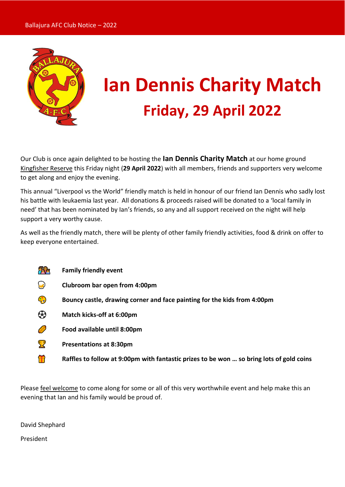

# **Ian Dennis Charity Match Friday, 29 April 2022**

Our Club is once again delighted to be hosting the **Ian Dennis Charity Match** at our home ground Kingfisher Reserve this Friday night (**29 April 2022**) with all members, friends and supporters very welcome to get along and enjoy the evening.

This annual "Liverpool vs the World" friendly match is held in honour of our friend Ian Dennis who sadly lost his battle with leukaemia last year. All donations & proceeds raised will be donated to a 'local family in need' that has been nominated by Ian's friends, so any and all support received on the night will help support a very worthy cause.

As well as the friendly match, there will be plenty of other family friendly activities, food & drink on offer to keep everyone entertained.

- 千安 **Family friendly event**
- **Clubroom bar open from 4:00pm**
- **Bouncy castle, drawing corner and face painting for the kids from 4:00pm**
- **Match kicks-off at 6:00pm**
- **Food available until 8:00pm**
- **Presentations at 8:30pm**
- **Raffles to follow at 9:00pm with fantastic prizes to be won ... so bring lots of gold coins <b>noting**

Please feel welcome to come along for some or all of this very worthwhile event and help make this an evening that Ian and his family would be proud of.

David Shephard

President